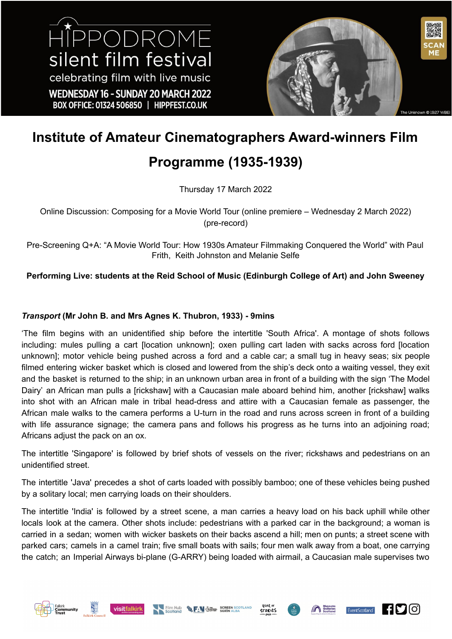

# **Institute of Amateur Cinematographers Award-winners Film**

# **Programme (1935-1939)**

Thursday 17 March 2022

Online Discussion: Composing for a Movie World Tour (online premiere – Wednesday 2 March 2022) (pre-record)

Pre-Screening Q+A: "A Movie World Tour: How 1930s Amateur Filmmaking Conquered the World" with Paul Frith, Keith Johnston and Melanie Selfe

**Performing Live: students at the Reid School of Music (Edinburgh College of Art) and John Sweeney**

# *Transport* **(Mr John B. and Mrs Agnes K. Thubron, 1933) - 9mins**

'The film begins with an unidentified ship before the intertitle 'South Africa'. A montage of shots follows including: mules pulling a cart [location unknown]; oxen pulling cart laden with sacks across ford [location unknown]; motor vehicle being pushed across a ford and a cable car; a small tug in heavy seas; six people filmed entering wicker basket which is closed and lowered from the ship's deck onto a waiting vessel, they exit and the basket is returned to the ship; in an unknown urban area in front of a building with the sign 'The Model Dairy' an African man pulls a [rickshaw] with a Caucasian male aboard behind him, another [rickshaw] walks into shot with an African male in tribal head-dress and attire with a Caucasian female as passenger, the African male walks to the camera performs a U-turn in the road and runs across screen in front of a building with life assurance signage; the camera pans and follows his progress as he turns into an adjoining road; Africans adjust the pack on an ox.

The intertitle 'Singapore' is followed by brief shots of vessels on the river; rickshaws and pedestrians on an unidentified street.

The intertitle 'Java' precedes a shot of carts loaded with possibly bamboo; one of these vehicles being pushed by a solitary local; men carrying loads on their shoulders.

The intertitle 'India' is followed by a street scene, a man carries a heavy load on his back uphill while other locals look at the camera. Other shots include: pedestrians with a parked car in the background; a woman is carried in a sedan; women with wicker baskets on their backs ascend a hill; men on punts; a street scene with parked cars; camels in a camel train; five small boats with sails; four men walk away from a boat, one carrying the catch; an Imperial Airways bi-plane (G-ARRY) being loaded with airmail, a Caucasian male supervises two











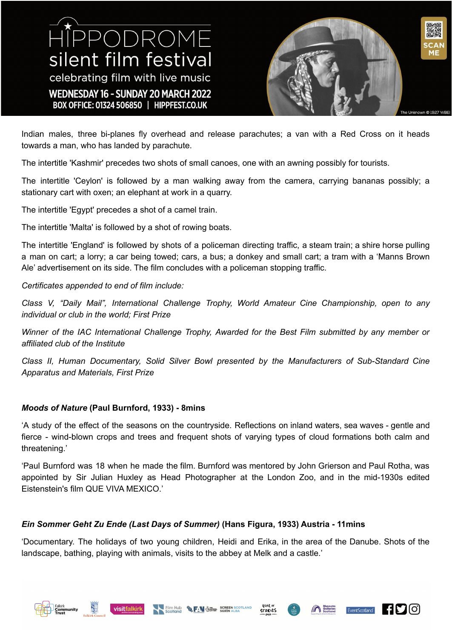HIPPODROME silent film festival celebrating film with live music WEDNESDAY 16 - SUNDAY 20 MARCH 2022 BOX OFFICE: 01324 506850 | HIPPFEST.CO.UK



Indian males, three bi-planes fly overhead and release parachutes; a van with a Red Cross on it heads towards a man, who has landed by parachute.

The intertitle 'Kashmir' precedes two shots of small canoes, one with an awning possibly for tourists.

The intertitle 'Ceylon' is followed by a man walking away from the camera, carrying bananas possibly; a stationary cart with oxen; an elephant at work in a quarry.

The intertitle 'Egypt' precedes a shot of a camel train.

The intertitle 'Malta' is followed by a shot of rowing boats.

The intertitle 'England' is followed by shots of a policeman directing traffic, a steam train; a shire horse pulling a man on cart; a lorry; a car being towed; cars, a bus; a donkey and small cart; a tram with a 'Manns Brown Ale' advertisement on its side. The film concludes with a policeman stopping traffic.

#### *Certificates appended to end of film include:*

*Class V, "Daily Mail", International Challenge Trophy, World Amateur Cine Championship, open to any individual or club in the world; First Prize*

*Winner of the IAC International Challenge Trophy, Awarded for the Best Film submitted by any member or affiliated club of the Institute*

*Class II, Human Documentary, Solid Silver Bowl presented by the Manufacturers of Sub-Standard Cine Apparatus and Materials, First Prize*

#### *Moods of Nature* **(Paul Burnford, 1933) - 8mins**

'A study of the effect of the seasons on the countryside. Reflections on inland waters, sea waves - gentle and fierce - wind-blown crops and trees and frequent shots of varying types of cloud formations both calm and threatening.'

'Paul Burnford was 18 when he made the film. Burnford was mentored by John Grierson and Paul Rotha, was appointed by Sir Julian Huxley as Head Photographer at the London Zoo, and in the mid-1930s edited Eistenstein's film QUE VIVA MEXICO.'

## *Ein Sommer Geht Zu Ende (Last Days of Summer)* **(Hans Figura, 1933) Austria - 11mins**

'Documentary. The holidays of two young children, Heidi and Erika, in the area of the Danube. Shots of the landscape, bathing, playing with animals, visits to the abbey at Melk and a castle.'











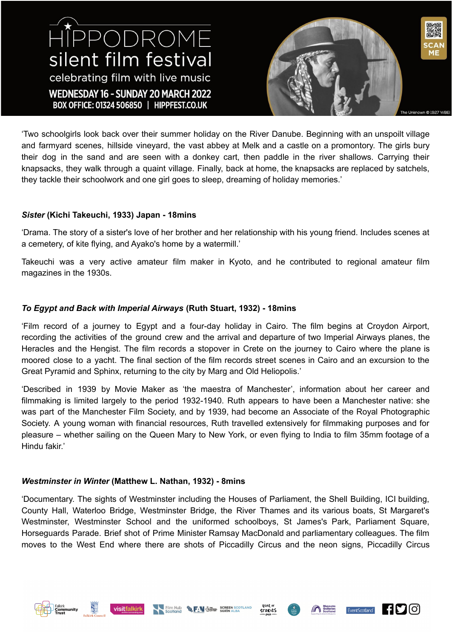HIPPODROME silent film festival celebrating film with live music WEDNESDAY 16 - SUNDAY 20 MARCH 2022 BOX OFFICE: 01324 506850 | HIPPFEST.CO.UK



'Two schoolgirls look back over their summer holiday on the River Danube. Beginning with an unspoilt village and farmyard scenes, hillside vineyard, the vast abbey at Melk and a castle on a promontory. The girls bury their dog in the sand and are seen with a donkey cart, then paddle in the river shallows. Carrying their knapsacks, they walk through a quaint village. Finally, back at home, the knapsacks are replaced by satchels, they tackle their schoolwork and one girl goes to sleep, dreaming of holiday memories.'

#### *Sister* **(Kichi Takeuchi, 1933) Japan - 18mins**

'Drama. The story of a sister's love of her brother and her relationship with his young friend. Includes scenes at a cemetery, of kite flying, and Ayako's home by a watermill.'

Takeuchi was a very active amateur film maker in Kyoto, and he contributed to regional amateur film magazines in the 1930s.

#### *To Egypt and Back with Imperial Airways* **(Ruth Stuart, 1932) - 18mins**

'Film record of a journey to Egypt and a four-day holiday in Cairo. The film begins at Croydon Airport, recording the activities of the ground crew and the arrival and departure of two Imperial Airways planes, the Heracles and the Hengist. The film records a stopover in Crete on the journey to Cairo where the plane is moored close to a yacht. The final section of the film records street scenes in Cairo and an excursion to the Great Pyramid and Sphinx, returning to the city by Marg and Old Heliopolis.'

'Described in 1939 by Movie Maker as 'the maestra of Manchester', information about her career and filmmaking is limited largely to the period 1932-1940. Ruth appears to have been a Manchester native: she was part of the Manchester Film Society, and by 1939, had become an Associate of the Royal Photographic Society. A young woman with financial resources, Ruth travelled extensively for filmmaking purposes and for pleasure – whether sailing on the Queen Mary to New York, or even flying to India to film 35mm footage of a Hindu fakir.'

#### *Westminster in Winter* **(Matthew L. Nathan, 1932) - 8mins**

'Documentary. The sights of Westminster including the Houses of Parliament, the Shell Building, ICI building, County Hall, Waterloo Bridge, Westminster Bridge, the River Thames and its various boats, St Margaret's Westminster, Westminster School and the uniformed schoolboys, St James's Park, Parliament Square, Horseguards Parade. Brief shot of Prime Minister Ramsay MacDonald and parliamentary colleagues. The film moves to the West End where there are shots of Piccadilly Circus and the neon signs, Piccadilly Circus